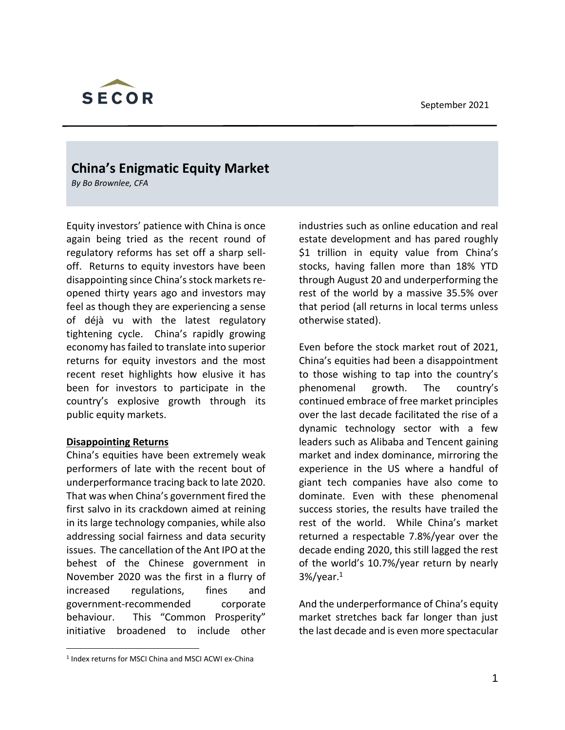

# **China's Enigmatic Equity Market**

*By Bo Brownlee, CFA*

Equity investors' patience with China is once again being tried as the recent round of regulatory reforms has set off a sharp selloff. Returns to equity investors have been disappointing since China's stock markets reopened thirty years ago and investors may feel as though they are experiencing a sense of déjà vu with the latest regulatory tightening cycle. China's rapidly growing economy has failed to translate into superior returns for equity investors and the most recent reset highlights how elusive it has been for investors to participate in the country's explosive growth through its public equity markets.

#### **Disappointing Returns**

China's equities have been extremely weak performers of late with the recent bout of underperformance tracing back to late 2020. That was when China's government fired the first salvo in its crackdown aimed at reining in its large technology companies, while also addressing social fairness and data security issues. The cancellation of the Ant IPO at the behest of the Chinese government in November 2020 was the first in a flurry of increased regulations, fines and government-recommended corporate behaviour. This "Common Prosperity" initiative broadened to include other industries such as online education and real estate development and has pared roughly \$1 trillion in equity value from China's stocks, having fallen more than 18% YTD through August 20 and underperforming the rest of the world by a massive 35.5% over that period (all returns in local terms unless otherwise stated).

Even before the stock market rout of 2021, China's equities had been a disappointment to those wishing to tap into the country's phenomenal growth. The country's continued embrace of free market principles over the last decade facilitated the rise of a dynamic technology sector with a few leaders such as Alibaba and Tencent gaining market and index dominance, mirroring the experience in the US where a handful of giant tech companies have also come to dominate. Even with these phenomenal success stories, the results have trailed the rest of the world. While China's market returned a respectable 7.8%/year over the decade ending 2020, this still lagged the rest of the world's 10.7%/year return by nearly  $3\%/year<sup>1</sup>$ 

And the underperformance of China's equity market stretches back far longer than just the last decade and is even more spectacular

<sup>1</sup> Index returns for MSCI China and MSCI ACWI ex-China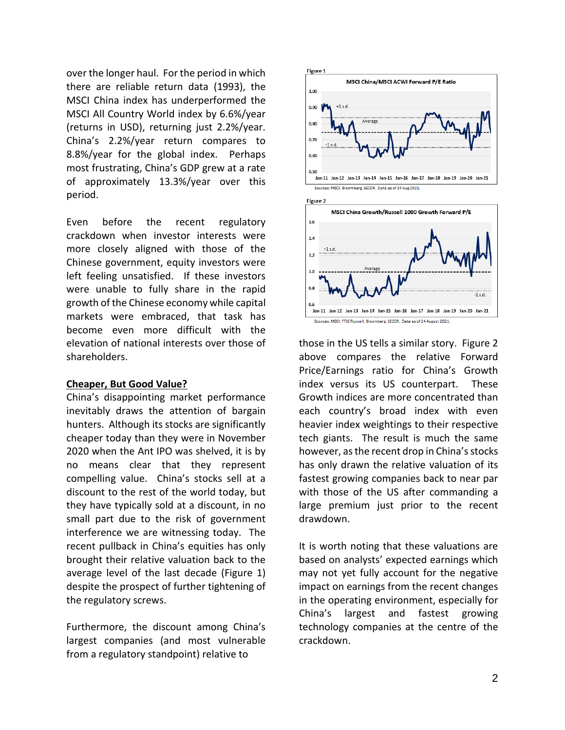over the longer haul. For the period in which there are reliable return data (1993), the MSCI China index has underperformed the MSCI All Country World index by 6.6%/year (returns in USD), returning just 2.2%/year. China's 2.2%/year return compares to 8.8%/year for the global index. Perhaps most frustrating, China's GDP grew at a rate of approximately 13.3%/year over this period.

Even before the recent regulatory crackdown when investor interests were more closely aligned with those of the Chinese government, equity investors were left feeling unsatisfied. If these investors were unable to fully share in the rapid growth of the Chinese economy while capital markets were embraced, that task has become even more difficult with the elevation of national interests over those of shareholders.

#### **Cheaper, But Good Value?**

China's disappointing market performance inevitably draws the attention of bargain hunters. Although its stocks are significantly cheaper today than they were in November 2020 when the Ant IPO was shelved, it is by no means clear that they represent compelling value. China's stocks sell at a discount to the rest of the world today, but they have typically sold at a discount, in no small part due to the risk of government interference we are witnessing today. The recent pullback in China's equities has only brought their relative valuation back to the average level of the last decade (Figure 1) despite the prospect of further tightening of the regulatory screws.

Furthermore, the discount among China's largest companies (and most vulnerable from a regulatory standpoint) relative to





those in the US tells a similar story. Figure 2 above compares the relative Forward Price/Earnings ratio for China's Growth index versus its US counterpart. These Growth indices are more concentrated than each country's broad index with even heavier index weightings to their respective tech giants. The result is much the same however, as the recent drop in China's stocks has only drawn the relative valuation of its fastest growing companies back to near par with those of the US after commanding a large premium just prior to the recent drawdown.

It is worth noting that these valuations are based on analysts' expected earnings which may not yet fully account for the negative impact on earnings from the recent changes in the operating environment, especially for China's largest and fastest growing technology companies at the centre of the crackdown.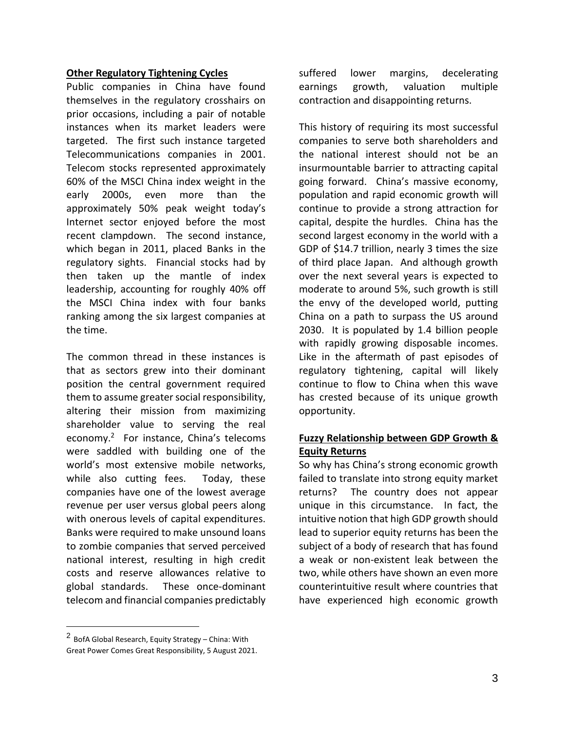#### **Other Regulatory Tightening Cycles**

Public companies in China have found themselves in the regulatory crosshairs on prior occasions, including a pair of notable instances when its market leaders were targeted. The first such instance targeted Telecommunications companies in 2001. Telecom stocks represented approximately 60% of the MSCI China index weight in the early 2000s, even more than the approximately 50% peak weight today's Internet sector enjoyed before the most recent clampdown. The second instance, which began in 2011, placed Banks in the regulatory sights. Financial stocks had by then taken up the mantle of index leadership, accounting for roughly 40% off the MSCI China index with four banks ranking among the six largest companies at the time.

The common thread in these instances is that as sectors grew into their dominant position the central government required them to assume greater social responsibility, altering their mission from maximizing shareholder value to serving the real economy.<sup>2</sup> For instance, China's telecoms were saddled with building one of the world's most extensive mobile networks, while also cutting fees. Today, these companies have one of the lowest average revenue per user versus global peers along with onerous levels of capital expenditures. Banks were required to make unsound loans to zombie companies that served perceived national interest, resulting in high credit costs and reserve allowances relative to global standards. These once-dominant telecom and financial companies predictably suffered lower margins, decelerating earnings growth, valuation multiple contraction and disappointing returns.

This history of requiring its most successful companies to serve both shareholders and the national interest should not be an insurmountable barrier to attracting capital going forward. China's massive economy, population and rapid economic growth will continue to provide a strong attraction for capital, despite the hurdles. China has the second largest economy in the world with a GDP of \$14.7 trillion, nearly 3 times the size of third place Japan. And although growth over the next several years is expected to moderate to around 5%, such growth is still the envy of the developed world, putting China on a path to surpass the US around 2030. It is populated by 1.4 billion people with rapidly growing disposable incomes. Like in the aftermath of past episodes of regulatory tightening, capital will likely continue to flow to China when this wave has crested because of its unique growth opportunity.

# **Fuzzy Relationship between GDP Growth & Equity Returns**

So why has China's strong economic growth failed to translate into strong equity market returns? The country does not appear unique in this circumstance. In fact, the intuitive notion that high GDP growth should lead to superior equity returns has been the subject of a body of research that has found a weak or non-existent leak between the two, while others have shown an even more counterintuitive result where countries that have experienced high economic growth

<sup>2</sup> BofA Global Research, Equity Strategy – China: With Great Power Comes Great Responsibility, 5 August 2021.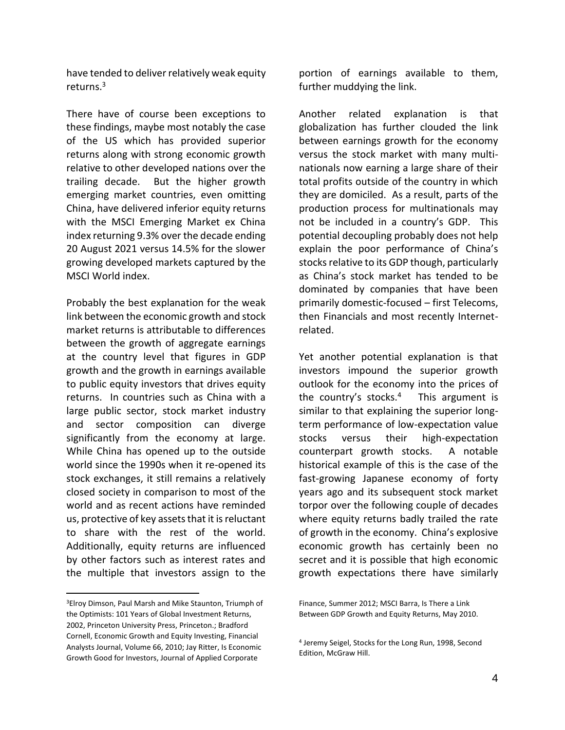have tended to deliver relatively weak equity returns.<sup>3</sup>

There have of course been exceptions to these findings, maybe most notably the case of the US which has provided superior returns along with strong economic growth relative to other developed nations over the trailing decade. But the higher growth emerging market countries, even omitting China, have delivered inferior equity returns with the MSCI Emerging Market ex China index returning 9.3% over the decade ending 20 August 2021 versus 14.5% for the slower growing developed markets captured by the MSCI World index.

Probably the best explanation for the weak link between the economic growth and stock market returns is attributable to differences between the growth of aggregate earnings at the country level that figures in GDP growth and the growth in earnings available to public equity investors that drives equity returns. In countries such as China with a large public sector, stock market industry and sector composition can diverge significantly from the economy at large. While China has opened up to the outside world since the 1990s when it re-opened its stock exchanges, it still remains a relatively closed society in comparison to most of the world and as recent actions have reminded us, protective of key assets that it is reluctant to share with the rest of the world. Additionally, equity returns are influenced by other factors such as interest rates and the multiple that investors assign to the

portion of earnings available to them, further muddying the link.

Another related explanation is that globalization has further clouded the link between earnings growth for the economy versus the stock market with many multinationals now earning a large share of their total profits outside of the country in which they are domiciled. As a result, parts of the production process for multinationals may not be included in a country's GDP. This potential decoupling probably does not help explain the poor performance of China's stocks relative to its GDP though, particularly as China's stock market has tended to be dominated by companies that have been primarily domestic-focused – first Telecoms, then Financials and most recently Internetrelated.

Yet another potential explanation is that investors impound the superior growth outlook for the economy into the prices of the country's stocks.<sup>4</sup> This argument is similar to that explaining the superior longterm performance of low-expectation value stocks versus their high-expectation counterpart growth stocks. A notable historical example of this is the case of the fast-growing Japanese economy of forty years ago and its subsequent stock market torpor over the following couple of decades where equity returns badly trailed the rate of growth in the economy. China's explosive economic growth has certainly been no secret and it is possible that high economic growth expectations there have similarly

<sup>3</sup>Elroy Dimson, Paul Marsh and Mike Staunton, Triumph of the Optimists: 101 Years of Global Investment Returns, 2002, Princeton University Press, Princeton.; Bradford Cornell, Economic Growth and Equity Investing, Financial Analysts Journal, Volume 66, 2010; Jay Ritter, Is Economic Growth Good for Investors, Journal of Applied Corporate

Finance, Summer 2012; MSCI Barra, Is There a Link Between GDP Growth and Equity Returns, May 2010.

<sup>4</sup> Jeremy Seigel, Stocks for the Long Run, 1998, Second Edition, McGraw Hill.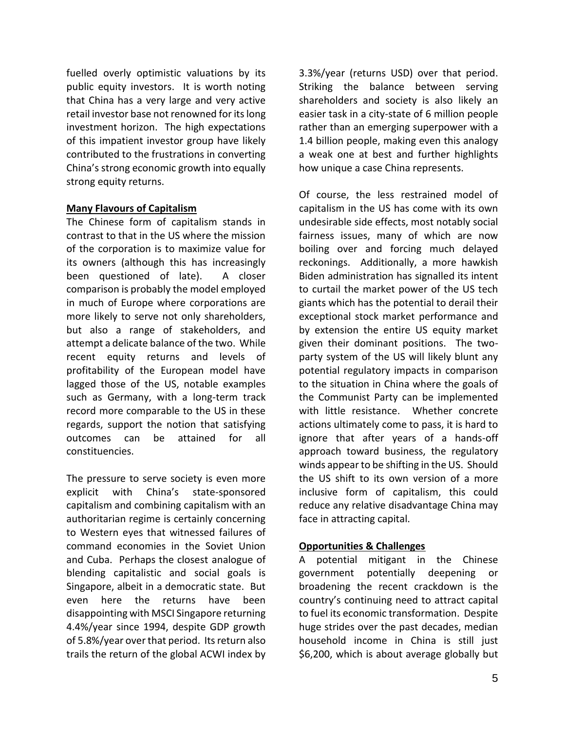fuelled overly optimistic valuations by its public equity investors. It is worth noting that China has a very large and very active retail investor base not renowned for its long investment horizon. The high expectations of this impatient investor group have likely contributed to the frustrations in converting China's strong economic growth into equally strong equity returns.

# **Many Flavours of Capitalism**

The Chinese form of capitalism stands in contrast to that in the US where the mission of the corporation is to maximize value for its owners (although this has increasingly been questioned of late). A closer comparison is probably the model employed in much of Europe where corporations are more likely to serve not only shareholders, but also a range of stakeholders, and attempt a delicate balance of the two. While recent equity returns and levels of profitability of the European model have lagged those of the US, notable examples such as Germany, with a long-term track record more comparable to the US in these regards, support the notion that satisfying outcomes can be attained for all constituencies.

The pressure to serve society is even more explicit with China's state-sponsored capitalism and combining capitalism with an authoritarian regime is certainly concerning to Western eyes that witnessed failures of command economies in the Soviet Union and Cuba. Perhaps the closest analogue of blending capitalistic and social goals is Singapore, albeit in a democratic state. But even here the returns have been disappointing with MSCI Singapore returning 4.4%/year since 1994, despite GDP growth of 5.8%/year over that period. Its return also trails the return of the global ACWI index by 3.3%/year (returns USD) over that period. Striking the balance between serving shareholders and society is also likely an easier task in a city-state of 6 million people rather than an emerging superpower with a 1.4 billion people, making even this analogy a weak one at best and further highlights how unique a case China represents.

Of course, the less restrained model of capitalism in the US has come with its own undesirable side effects, most notably social fairness issues, many of which are now boiling over and forcing much delayed reckonings. Additionally, a more hawkish Biden administration has signalled its intent to curtail the market power of the US tech giants which has the potential to derail their exceptional stock market performance and by extension the entire US equity market given their dominant positions. The twoparty system of the US will likely blunt any potential regulatory impacts in comparison to the situation in China where the goals of the Communist Party can be implemented with little resistance. Whether concrete actions ultimately come to pass, it is hard to ignore that after years of a hands-off approach toward business, the regulatory winds appear to be shifting in the US. Should the US shift to its own version of a more inclusive form of capitalism, this could reduce any relative disadvantage China may face in attracting capital.

# **Opportunities & Challenges**

A potential mitigant in the Chinese government potentially deepening or broadening the recent crackdown is the country's continuing need to attract capital to fuel its economic transformation. Despite huge strides over the past decades, median household income in China is still just \$6,200, which is about average globally but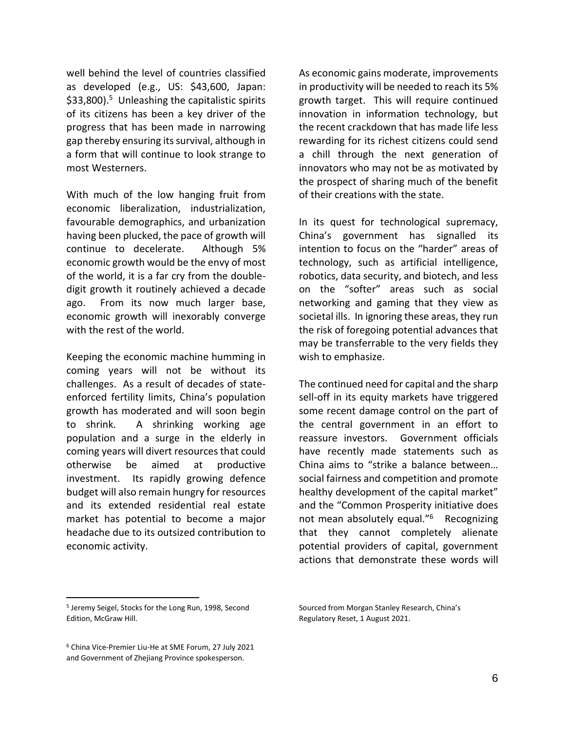well behind the level of countries classified as developed (e.g., US: \$43,600, Japan: \$33,800).<sup>5</sup> Unleashing the capitalistic spirits of its citizens has been a key driver of the progress that has been made in narrowing gap thereby ensuring its survival, although in a form that will continue to look strange to most Westerners.

With much of the low hanging fruit from economic liberalization, industrialization, favourable demographics, and urbanization having been plucked, the pace of growth will continue to decelerate. Although 5% economic growth would be the envy of most of the world, it is a far cry from the doubledigit growth it routinely achieved a decade ago. From its now much larger base, economic growth will inexorably converge with the rest of the world.

Keeping the economic machine humming in coming years will not be without its challenges. As a result of decades of stateenforced fertility limits, China's population growth has moderated and will soon begin to shrink. A shrinking working age population and a surge in the elderly in coming years will divert resources that could otherwise be aimed at productive investment. Its rapidly growing defence budget will also remain hungry for resources and its extended residential real estate market has potential to become a major headache due to its outsized contribution to economic activity.

As economic gains moderate, improvements in productivity will be needed to reach its 5% growth target. This will require continued innovation in information technology, but the recent crackdown that has made life less rewarding for its richest citizens could send a chill through the next generation of innovators who may not be as motivated by the prospect of sharing much of the benefit of their creations with the state.

In its quest for technological supremacy, China's government has signalled its intention to focus on the "harder" areas of technology, such as artificial intelligence, robotics, data security, and biotech, and less on the "softer" areas such as social networking and gaming that they view as societal ills. In ignoring these areas, they run the risk of foregoing potential advances that may be transferrable to the very fields they wish to emphasize.

The continued need for capital and the sharp sell-off in its equity markets have triggered some recent damage control on the part of the central government in an effort to reassure investors. Government officials have recently made statements such as China aims to "strike a balance between… social fairness and competition and promote healthy development of the capital market" and the "Common Prosperity initiative does not mean absolutely equal."<sup>6</sup> Recognizing that they cannot completely alienate potential providers of capital, government actions that demonstrate these words will

<sup>5</sup> Jeremy Seigel, Stocks for the Long Run, 1998, Second Edition, McGraw Hill.

<sup>6</sup> China Vice-Premier Liu-He at SME Forum, 27 July 2021 and Government of Zhejiang Province spokesperson.

Sourced from Morgan Stanley Research, China's Regulatory Reset, 1 August 2021.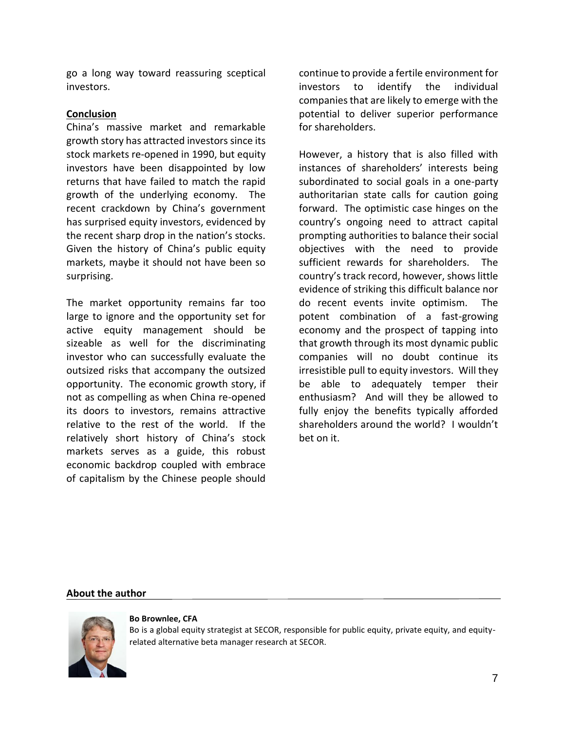go a long way toward reassuring sceptical investors.

# **Conclusion**

China's massive market and remarkable growth story has attracted investors since its stock markets re-opened in 1990, but equity investors have been disappointed by low returns that have failed to match the rapid growth of the underlying economy. The recent crackdown by China's government has surprised equity investors, evidenced by the recent sharp drop in the nation's stocks. Given the history of China's public equity markets, maybe it should not have been so surprising.

The market opportunity remains far too large to ignore and the opportunity set for active equity management should be sizeable as well for the discriminating investor who can successfully evaluate the outsized risks that accompany the outsized opportunity. The economic growth story, if not as compelling as when China re-opened its doors to investors, remains attractive relative to the rest of the world. If the relatively short history of China's stock markets serves as a guide, this robust economic backdrop coupled with embrace of capitalism by the Chinese people should continue to provide a fertile environment for investors to identify the individual companies that are likely to emerge with the potential to deliver superior performance for shareholders.

However, a history that is also filled with instances of shareholders' interests being subordinated to social goals in a one-party authoritarian state calls for caution going forward. The optimistic case hinges on the country's ongoing need to attract capital prompting authorities to balance their social objectives with the need to provide sufficient rewards for shareholders. The country's track record, however, shows little evidence of striking this difficult balance nor do recent events invite optimism. The potent combination of a fast-growing economy and the prospect of tapping into that growth through its most dynamic public companies will no doubt continue its irresistible pull to equity investors. Will they be able to adequately temper their enthusiasm? And will they be allowed to fully enjoy the benefits typically afforded shareholders around the world? I wouldn't bet on it.

# **About the author**



#### **Bo Brownlee, CFA**

Bo is a global equity strategist at SECOR, responsible for public equity, private equity, and equityrelated alternative beta manager research at SECOR.